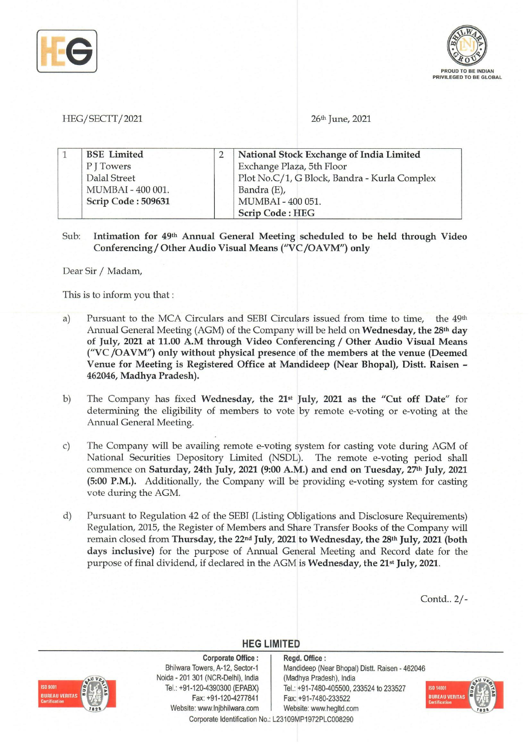



HEG/SECTT/2021 26<sup>th</sup> June, 2021

| <b>BSE</b> Limited | National Stock Exchange of India Limited     |
|--------------------|----------------------------------------------|
| P J Towers         | Exchange Plaza, 5th Floor                    |
| Dalal Street       | Plot No.C/1, G Block, Bandra - Kurla Complex |
| MUMBAI - 400 001.  | Bandra (E),                                  |
| Scrip Code: 509631 | MUMBAI - 400 051.                            |
|                    | <b>Scrip Code: HEG</b>                       |

Sub: Intimation for 491h Annual General Meeting scheduled to be held through Video Conferencing/Other Audio Visual Means ("VC/OAVM") only

Dear Sir *I* Madam,

ISD 9001

**BUREAU VERITA!** 

This is to inform you that:

- a) Pursuant to the MCA Circulars and SEBI Circulars issued from time to time, the 49<sup>th</sup> Annual General Meeting (AGM) of the Company will be held on Wednesday, the 28<sup>th</sup> day of July, 2021 at 11.00 A.M through Video Conferencing / Other Audio Visual Means ("VC/OAVM") only without physical presence of the members at the venue (Deemed Venue for Meeting is Registered Office at Mandideep (Near Bhopal), Distt. Raisen - 462046, Madhya Pradesh).
- b) The Company has fixed Wednesday, the 21st July, 2021 as the "Cut off Date" for determining the eligibility of members to vote by remote e-voting or e-voting at the Annual General Meeting.
- c) The Company will be availing remote e-voting system for casting vote during AGM of National Securities Depository Limited (NSDL). The remote e-voting period shall commence on Saturday, 24th July, 2021 (9:00 A.M.) and end on Tuesday, 27<sup>th</sup> July, 2021 (5:00 P.M.). Additionally, the Company will be providing e-voting system for casting vote during the AGM.
- d) Pursuant to Regulation 42 of the SEBI (Listing Obligations and Disclosure Requirements) Regulation, 2015, the Register of Members and Share Transfer Books of the Company will remain closed from Thursday, the 22<sup>nd</sup> July, 2021 to Wednesday, the 28<sup>th</sup> July, 2021 (both days inclusive) for the purpose of Annual General Meeting and Record date for the purpose of final dividend, if declared in the AGM is Wednesday, the 21<sup>st</sup> July, 2021.

Contd .. *2/-* 



## **HEG LIMITED**